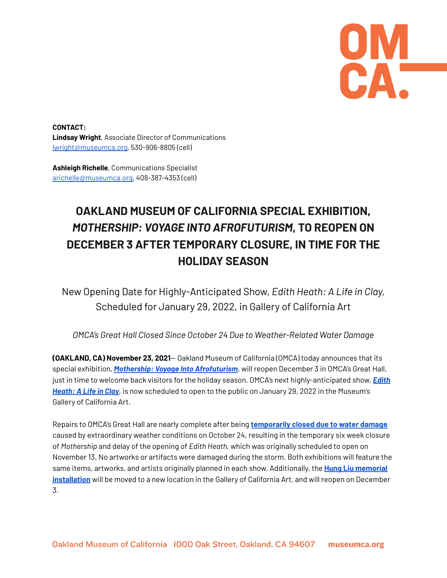**UWL** 

**CONTACT: Lindsay Wright**, Associate Director of Communications lwright@museumca.org, 530-906-8805 (cell)

**Ashleigh Richelle**, Communications Specialist [arichelle@museumca.org,](mailto:arichelle@museumca.org) 408-387-4353 (cell)

## **OAKLAND MUSEUM OF CALIFORNIA SPECIAL EXHIBITION,** *MOTHERSHIP: VOYAGE INTO AFROFUTURISM***, TO REOPEN ON DECEMBER 3 AFTER TEMPORARY CLOSURE, IN TIME FOR THE HOLIDAY SEASON**

New Opening Date for Highly-Anticipated Show, *Edith Heath: A Life in Clay,* Scheduled for January 29, 2022, in Gallery of California Art

*OMCA's Great Hall Closed Since October 24 Due to Weather-Related Water Damage*

**(OAKLAND, CA) November 23, 2021**— Oakland Museum of California (OMCA) today announces that its special exhibition, *Mothership: Voyage Into [Afrofuturism](https://museumca.org/exhibit/mothership-voyage-afrofuturism)*, will reopen December 3 in OMCA's Great Hall, just in time to welcome back visitors for the holiday season. OMCA's next highly-anticipated show, *[Edith](https://museumca.org/exhibit/edith-heath-life-clay) [Heath:](https://museumca.org/exhibit/edith-heath-life-clay) A Life in Clay*, is now scheduled to open to the public on January 29, 2022 in the Museum's Gallery of California Art.

Repairs to OMCA's Great Hall are nearly complete after being **[temporarily](https://museumca.org/press/oakland-museum-california-special-exhibitions-temporarily-closed-due-water-damage-impacts) closed due to water damage** caused by extraordinary weather conditions on October 24, resulting in the temporary six week closure of *Mothership* and delay of the opening of *Edith Heath,* which was originally scheduled to open on November 13. No artworks or artifacts were damaged during the storm. Both exhibitions will feature the same items, artworks, and artists originally planned in each show. Additionally, the **Hung Liu [memorial](https://museumca.org/projects/remembering-artist-hung-liu) [installation](https://museumca.org/projects/remembering-artist-hung-liu)** will be moved to a new location in the Gallery of California Art, and will reopen on December 3.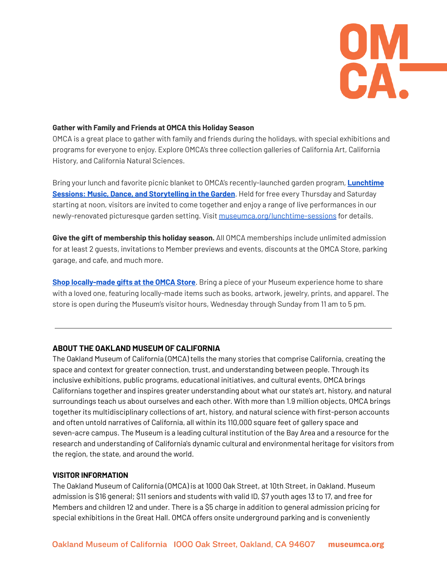

## **Gather with Family and Friends at OMCA this Holiday Season**

OMCA is a great place to gather with family and friends during the holidays, with special exhibitions and programs for everyone to enjoy. Explore OMCA's three collection galleries of California Art, California History, and California Natural Sciences.

Bring your lunch and favorite picnic blanket to OMCA's recently-launched garden program, **[Lunchtime](https://museumca.org/lunchtime-sessions) Sessions: Music, Dance, and [Storytelling](https://museumca.org/lunchtime-sessions) in the Garden**. Held for free every Thursday and Saturday starting at noon, visitors are invited to come together and enjoy a range of live performances in our newly-renovated picturesque garden setting. Visit [museumca.org/lunchtime-sessions](https://museumca.org/lunchtime-sessions) for details.

**Give the gift of membership this holiday season.** All OMCA memberships include unlimited admission for at least 2 guests, invitations to Member previews and events, discounts at the OMCA Store, parking garage, and cafe, and much more.

**Shop [locally-made](https://museumca.org/omca-store) gifts at the OMCA Store**. Bring a piece of your Museum experience home to share with a loved one, featuring locally-made items such as books, artwork, jewelry, prints, and apparel. The store is open during the Museum's visitor hours, Wednesday through Sunday from 11 am to 5 pm.

## **ABOUT THE OAKLAND MUSEUM OF CALIFORNIA**

The Oakland Museum of California (OMCA) tells the many stories that comprise California, creating the space and context for greater connection, trust, and understanding between people. Through its inclusive exhibitions, public programs, educational initiatives, and cultural events, OMCA brings Californians together and inspires greater understanding about what our state's art, history, and natural surroundings teach us about ourselves and each other. With more than 1.9 million objects, OMCA brings together its multidisciplinary collections of art, history, and natural science with first-person accounts and often untold narratives of California, all within its 110,000 square feet of gallery space and seven-acre campus. The Museum is a leading cultural institution of the Bay Area and a resource for the research and understanding of California's dynamic cultural and environmental heritage for visitors from the region, the state, and around the world.

## **VISITOR INFORMATION**

The Oakland Museum of California (OMCA) is at 1000 Oak Street, at 10th Street, in Oakland. Museum admission is \$16 general; \$11 seniors and students with valid ID, \$7 youth ages 13 to 17, and free for Members and children 12 and under. There is a \$5 charge in addition to general admission pricing for special exhibitions in the Great Hall. OMCA offers onsite underground parking and is conveniently